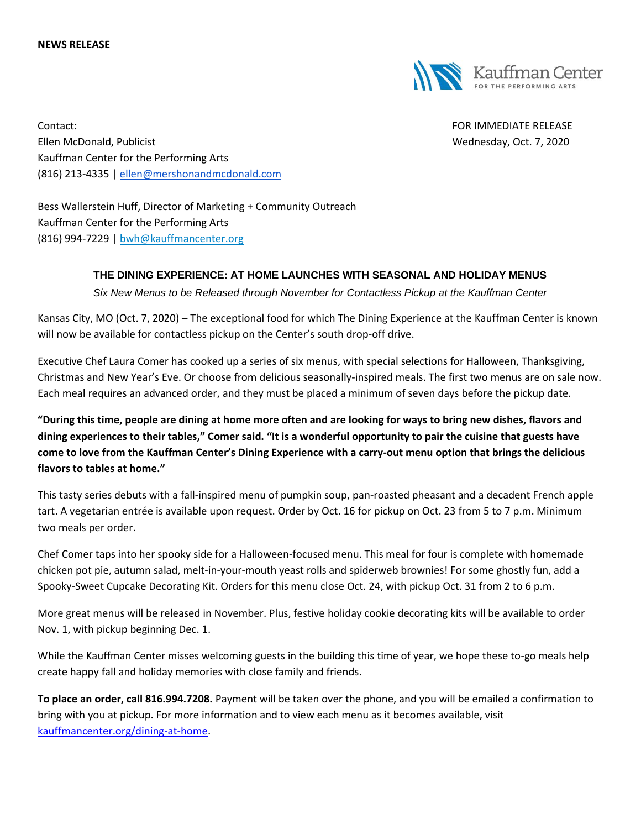

Contact: FOR IMMEDIATE RELEASE Ellen McDonald, Publicist **Wednesday, Oct. 7, 2020** Kauffman Center for the Performing Arts (816) 213-4335 | [ellen@mershonandmcdonald.com](mailto:ellen@mershonandmcdonald.com)

Bess Wallerstein Huff, Director of Marketing + Community Outreach Kauffman Center for the Performing Arts (816) 994-7229 | [bwh@kauffmancenter.org](mailto:bwh@kauffmancenter.org)

## **THE DINING EXPERIENCE: AT HOME LAUNCHES WITH SEASONAL AND HOLIDAY MENUS**

*Six New Menus to be Released through November for Contactless Pickup at the Kauffman Center*

Kansas City, MO (Oct. 7, 2020) – The exceptional food for which The Dining Experience at the Kauffman Center is known will now be available for contactless pickup on the Center's south drop-off drive.

Executive Chef Laura Comer has cooked up a series of six menus, with special selections for Halloween, Thanksgiving, Christmas and New Year's Eve. Or choose from delicious seasonally-inspired meals. The first two menus are on sale now. Each meal requires an advanced order, and they must be placed a minimum of seven days before the pickup date.

**"During this time, people are dining at home more often and are looking for ways to bring new dishes, flavors and dining experiences to their tables," Comer said. "It is a wonderful opportunity to pair the cuisine that guests have come to love from the Kauffman Center's Dining Experience with a carry-out menu option that brings the delicious flavors to tables at home."**

This tasty series debuts with a fall-inspired menu of pumpkin soup, pan-roasted pheasant and a decadent French apple tart. A vegetarian entrée is available upon request. Order by Oct. 16 for pickup on Oct. 23 from 5 to 7 p.m. Minimum two meals per order.

Chef Comer taps into her spooky side for a Halloween-focused menu. This meal for four is complete with homemade chicken pot pie, autumn salad, melt-in-your-mouth yeast rolls and spiderweb brownies! For some ghostly fun, add a Spooky-Sweet Cupcake Decorating Kit. Orders for this menu close Oct. 24, with pickup Oct. 31 from 2 to 6 p.m.

More great menus will be released in November. Plus, festive holiday cookie decorating kits will be available to order Nov. 1, with pickup beginning Dec. 1.

While the Kauffman Center misses welcoming guests in the building this time of year, we hope these to-go meals help create happy fall and holiday memories with close family and friends.

**To place an order, call 816.994.7208.** Payment will be taken over the phone, and you will be emailed a confirmation to bring with you at pickup. For more information and to view each menu as it becomes available, visit [kauffmancenter.org/dining-at-home.](https://www.kauffmancenter.org/the-center/dining-at-home)